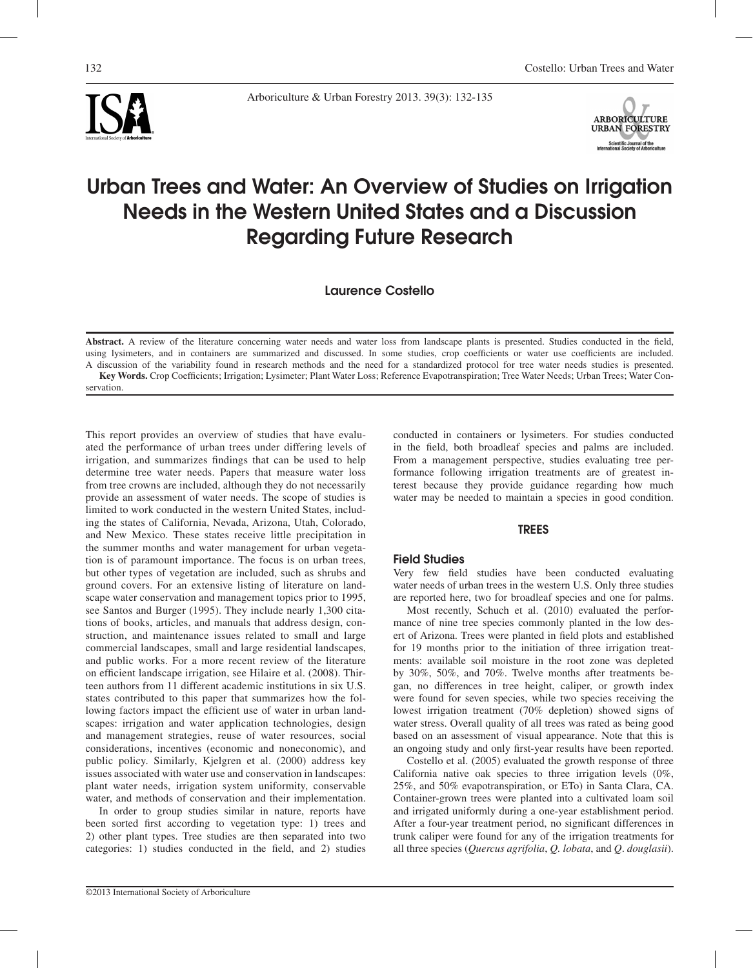





# Urban Trees and Water: An Overview of Studies on Irrigation Needs in the Western United States and a Discussion Regarding Future Research

Laurence Costello

**Abstract.** A review of the literature concerning water needs and water loss from landscape plants is presented. Studies conducted in the field, using lysimeters, and in containers are summarized and discussed. In some studies, crop coefficients or water use coefficients are included. A discussion of the variability found in research methods and the need for a standardized protocol for tree water needs studies is presented. **Key Words.** Crop Coefficients; Irrigation; Lysimeter; Plant Water Loss; Reference Evapotranspiration; Tree Water Needs; Urban Trees; Water Con-

servation.

This report provides an overview of studies that have evaluated the performance of urban trees under differing levels of irrigation, and summarizes findings that can be used to help determine tree water needs. Papers that measure water loss from tree crowns are included, although they do not necessarily provide an assessment of water needs. The scope of studies is limited to work conducted in the western United States, including the states of California, Nevada, Arizona, Utah, Colorado, and New Mexico. These states receive little precipitation in the summer months and water management for urban vegetation is of paramount importance. The focus is on urban trees, but other types of vegetation are included, such as shrubs and ground covers. For an extensive listing of literature on landscape water conservation and management topics prior to 1995, see Santos and Burger (1995). They include nearly 1,300 citations of books, articles, and manuals that address design, construction, and maintenance issues related to small and large commercial landscapes, small and large residential landscapes, and public works. For a more recent review of the literature on efficient landscape irrigation, see Hilaire et al. (2008). Thirteen authors from 11 different academic institutions in six U.S. states contributed to this paper that summarizes how the following factors impact the efficient use of water in urban landscapes: irrigation and water application technologies, design and management strategies, reuse of water resources, social considerations, incentives (economic and noneconomic), and public policy. Similarly, Kjelgren et al. (2000) address key issues associated with water use and conservation in landscapes: plant water needs, irrigation system uniformity, conservable water, and methods of conservation and their implementation.

In order to group studies similar in nature, reports have been sorted first according to vegetation type: 1) trees and 2) other plant types. Tree studies are then separated into two categories: 1) studies conducted in the field, and 2) studies

conducted in containers or lysimeters. For studies conducted in the field, both broadleaf species and palms are included. From a management perspective, studies evaluating tree performance following irrigation treatments are of greatest interest because they provide guidance regarding how much water may be needed to maintain a species in good condition.

## TREES

# Field Studies

Very few field studies have been conducted evaluating water needs of urban trees in the western U.S. Only three studies are reported here, two for broadleaf species and one for palms.

Most recently, Schuch et al. (2010) evaluated the performance of nine tree species commonly planted in the low desert of Arizona. Trees were planted in field plots and established for 19 months prior to the initiation of three irrigation treatments: available soil moisture in the root zone was depleted by 30%, 50%, and 70%. Twelve months after treatments began, no differences in tree height, caliper, or growth index were found for seven species, while two species receiving the lowest irrigation treatment (70% depletion) showed signs of water stress. Overall quality of all trees was rated as being good based on an assessment of visual appearance. Note that this is an ongoing study and only first-year results have been reported.

Costello et al. (2005) evaluated the growth response of three California native oak species to three irrigation levels (0%, 25%, and 50% evapotranspiration, or ETo) in Santa Clara, CA. Container-grown trees were planted into a cultivated loam soil and irrigated uniformly during a one-year establishment period. After a four-year treatment period, no significant differences in trunk caliper were found for any of the irrigation treatments for all three species (*Quercus agrifolia*, *Q. lobata*, and *Q*. *douglasii*).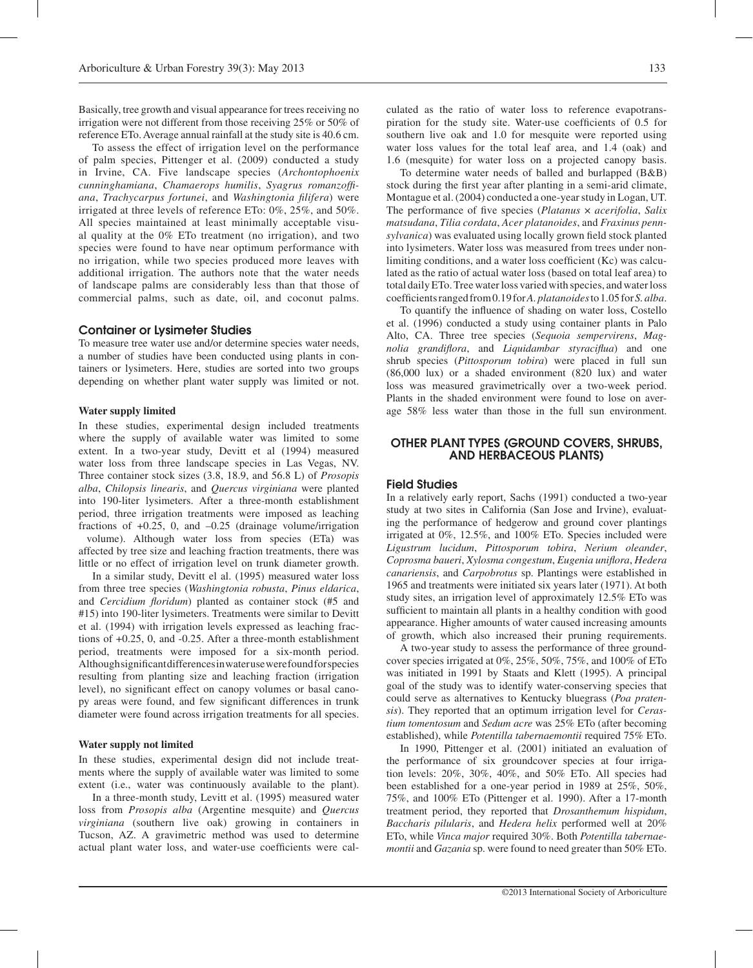Basically, tree growth and visual appearance for trees receiving no irrigation were not different from those receiving 25% or 50% of reference ETo. Average annual rainfall at the study site is 40.6 cm.

To assess the effect of irrigation level on the performance of palm species, Pittenger et al. (2009) conducted a study in Irvine, CA. Five landscape species (*Archontophoenix cunninghamiana*, *Chamaerops humilis*, *Syagrus romanzoffiana*, *Trachycarpus fortunei*, and *Washingtonia filifera*) were irrigated at three levels of reference ETo: 0%, 25%, and 50%. All species maintained at least minimally acceptable visual quality at the 0% ETo treatment (no irrigation), and two species were found to have near optimum performance with no irrigation, while two species produced more leaves with additional irrigation. The authors note that the water needs of landscape palms are considerably less than that those of commercial palms, such as date, oil, and coconut palms.

## Container or Lysimeter Studies

To measure tree water use and/or determine species water needs, a number of studies have been conducted using plants in containers or lysimeters. Here, studies are sorted into two groups depending on whether plant water supply was limited or not.

#### **Water supply limited**

In these studies, experimental design included treatments where the supply of available water was limited to some extent. In a two-year study, Devitt et al (1994) measured water loss from three landscape species in Las Vegas, NV. Three container stock sizes (3.8, 18.9, and 56.8 L) of *Prosopis alba*, *Chilopsis linearis*, and *Quercus virginiana* were planted into 190-liter lysimeters. After a three-month establishment period, three irrigation treatments were imposed as leaching fractions of  $+0.25$ , 0, and  $-0.25$  (drainage volume/irrigation volume). Although water loss from species (ETa) was affected by tree size and leaching fraction treatments, there was little or no effect of irrigation level on trunk diameter growth.

In a similar study, Devitt el al. (1995) measured water loss from three tree species (*Washingtonia robusta*, *Pinus eldarica*, and *Cercidium floridum*) planted as container stock (#5 and #15) into 190-liter lysimeters. Treatments were similar to Devitt et al. (1994) with irrigation levels expressed as leaching fractions of +0.25, 0, and -0.25. After a three-month establishment period, treatments were imposed for a six-month period. Although significant differences in water use were found for species resulting from planting size and leaching fraction (irrigation level), no significant effect on canopy volumes or basal canopy areas were found, and few significant differences in trunk diameter were found across irrigation treatments for all species.

## **Water supply not limited**

In these studies, experimental design did not include treatments where the supply of available water was limited to some extent (i.e., water was continuously available to the plant).

In a three-month study, Levitt et al. (1995) measured water loss from *Prosopis alba* (Argentine mesquite) and *Quercus virginiana* (southern live oak) growing in containers in Tucson, AZ. A gravimetric method was used to determine actual plant water loss, and water-use coefficients were calculated as the ratio of water loss to reference evapotranspiration for the study site. Water-use coefficients of 0.5 for southern live oak and 1.0 for mesquite were reported using water loss values for the total leaf area, and 1.4 (oak) and 1.6 (mesquite) for water loss on a projected canopy basis.

To determine water needs of balled and burlapped (B&B) stock during the first year after planting in a semi-arid climate, Montague et al. (2004) conducted a one-year study in Logan, UT. The performance of five species (*Platanus* × *acerifolia*, *Salix matsudana*, *Tilia cordata*, *Acer platanoides*, and *Fraxinus pennsylvanica*) was evaluated using locally grown field stock planted into lysimeters. Water loss was measured from trees under nonlimiting conditions, and a water loss coefficient (Kc) was calculated as the ratio of actual water loss (based on total leaf area) to total daily ETo. Tree water loss varied with species, and water loss coefficients ranged from 0.19 for *A. platanoides* to 1.05 for *S. alba*.

To quantify the influence of shading on water loss, Costello et al. (1996) conducted a study using container plants in Palo Alto, CA. Three tree species (*Sequoia sempervirens*, *Magnolia grandiflora*, and *Liquidambar styraciflua*) and one shrub species (*Pittosporum tobira*) were placed in full sun (86,000 lux) or a shaded environment (820 lux) and water loss was measured gravimetrically over a two-week period. Plants in the shaded environment were found to lose on average 58% less water than those in the full sun environment.

# OTHER PLANT TYPES (GROUND COVERS, SHRUBS, AND HERBACEOUS PLANTS)

## Field Studies

In a relatively early report, Sachs (1991) conducted a two-year study at two sites in California (San Jose and Irvine), evaluating the performance of hedgerow and ground cover plantings irrigated at 0%, 12.5%, and 100% ETo. Species included were *Ligustrum lucidum*, *Pittosporum tobira*, *Nerium oleander*, *Coprosma baueri*, *Xylosma congestum*, *Eugenia uniflora*, *Hedera canariensis*, and *Carpobrotus* sp. Plantings were established in 1965 and treatments were initiated six years later (1971). At both study sites, an irrigation level of approximately 12.5% ETo was sufficient to maintain all plants in a healthy condition with good appearance. Higher amounts of water caused increasing amounts of growth, which also increased their pruning requirements.

A two-year study to assess the performance of three groundcover species irrigated at 0%, 25%, 50%, 75%, and 100% of ETo was initiated in 1991 by Staats and Klett (1995). A principal goal of the study was to identify water-conserving species that could serve as alternatives to Kentucky bluegrass (*Poa pratensis*). They reported that an optimum irrigation level for *Cerastium tomentosum* and *Sedum acre* was 25% ETo (after becoming established), while *Potentilla tabernaemontii* required 75% ETo.

In 1990, Pittenger et al. (2001) initiated an evaluation of the performance of six groundcover species at four irrigation levels: 20%, 30%, 40%, and 50% ETo. All species had been established for a one-year period in 1989 at 25%, 50%, 75%, and 100% ETo (Pittenger et al. 1990). After a 17-month treatment period, they reported that *Drosanthemum hispidum*, *Baccharis pilularis*, and *Hedera helix* performed well at 20% ETo, while *Vinca major* required 30%. Both *Potentilla tabernaemontii* and *Gazania* sp. were found to need greater than 50% ETo.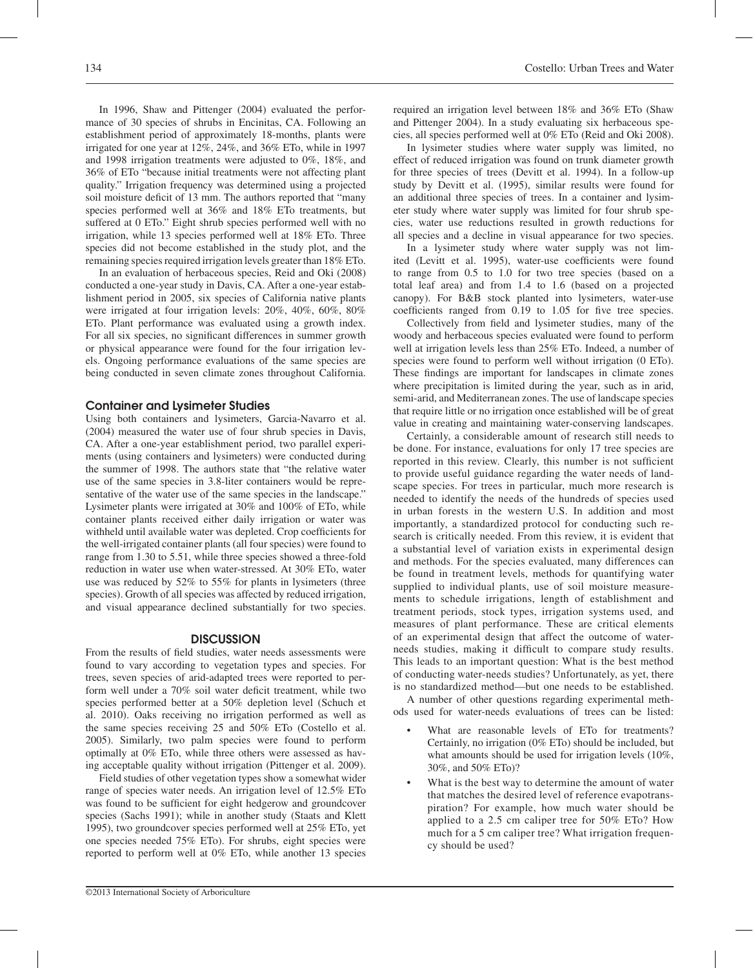In 1996, Shaw and Pittenger (2004) evaluated the performance of 30 species of shrubs in Encinitas, CA. Following an establishment period of approximately 18-months, plants were irrigated for one year at 12%, 24%, and 36% ETo, while in 1997 and 1998 irrigation treatments were adjusted to 0%, 18%, and 36% of ETo "because initial treatments were not affecting plant quality." Irrigation frequency was determined using a projected soil moisture deficit of 13 mm. The authors reported that "many species performed well at 36% and 18% ETo treatments, but suffered at 0 ETo." Eight shrub species performed well with no irrigation, while 13 species performed well at 18% ETo. Three species did not become established in the study plot, and the remaining species required irrigation levels greater than 18% ETo.

In an evaluation of herbaceous species, Reid and Oki (2008) conducted a one-year study in Davis, CA. After a one-year establishment period in 2005, six species of California native plants were irrigated at four irrigation levels: 20%, 40%, 60%, 80% ETo. Plant performance was evaluated using a growth index. For all six species, no significant differences in summer growth or physical appearance were found for the four irrigation levels. Ongoing performance evaluations of the same species are being conducted in seven climate zones throughout California.

#### Container and Lysimeter Studies

Using both containers and lysimeters, Garcia-Navarro et al. (2004) measured the water use of four shrub species in Davis, CA. After a one-year establishment period, two parallel experiments (using containers and lysimeters) were conducted during the summer of 1998. The authors state that "the relative water use of the same species in 3.8-liter containers would be representative of the water use of the same species in the landscape." Lysimeter plants were irrigated at 30% and 100% of ETo, while container plants received either daily irrigation or water was withheld until available water was depleted. Crop coefficients for the well-irrigated container plants (all four species) were found to range from 1.30 to 5.51, while three species showed a three-fold reduction in water use when water-stressed. At 30% ETo, water use was reduced by 52% to 55% for plants in lysimeters (three species). Growth of all species was affected by reduced irrigation, and visual appearance declined substantially for two species.

## **DISCUSSION**

From the results of field studies, water needs assessments were found to vary according to vegetation types and species. For trees, seven species of arid-adapted trees were reported to perform well under a 70% soil water deficit treatment, while two species performed better at a 50% depletion level (Schuch et al. 2010). Oaks receiving no irrigation performed as well as the same species receiving 25 and 50% ETo (Costello et al. 2005). Similarly, two palm species were found to perform optimally at 0% ETo, while three others were assessed as having acceptable quality without irrigation (Pittenger et al. 2009).

Field studies of other vegetation types show a somewhat wider range of species water needs. An irrigation level of 12.5% ETo was found to be sufficient for eight hedgerow and groundcover species (Sachs 1991); while in another study (Staats and Klett 1995), two groundcover species performed well at 25% ETo, yet one species needed 75% ETo). For shrubs, eight species were reported to perform well at 0% ETo, while another 13 species

required an irrigation level between 18% and 36% ETo (Shaw and Pittenger 2004). In a study evaluating six herbaceous species, all species performed well at 0% ETo (Reid and Oki 2008).

In lysimeter studies where water supply was limited, no effect of reduced irrigation was found on trunk diameter growth for three species of trees (Devitt et al. 1994). In a follow-up study by Devitt et al. (1995), similar results were found for an additional three species of trees. In a container and lysimeter study where water supply was limited for four shrub species, water use reductions resulted in growth reductions for all species and a decline in visual appearance for two species.

In a lysimeter study where water supply was not limited (Levitt et al. 1995), water-use coefficients were found to range from 0.5 to 1.0 for two tree species (based on a total leaf area) and from 1.4 to 1.6 (based on a projected canopy). For B&B stock planted into lysimeters, water-use coefficients ranged from 0.19 to 1.05 for five tree species.

Collectively from field and lysimeter studies, many of the woody and herbaceous species evaluated were found to perform well at irrigation levels less than 25% ETo. Indeed, a number of species were found to perform well without irrigation (0 ETo). These findings are important for landscapes in climate zones where precipitation is limited during the year, such as in arid, semi-arid, and Mediterranean zones. The use of landscape species that require little or no irrigation once established will be of great value in creating and maintaining water-conserving landscapes.

Certainly, a considerable amount of research still needs to be done. For instance, evaluations for only 17 tree species are reported in this review. Clearly, this number is not sufficient to provide useful guidance regarding the water needs of landscape species. For trees in particular, much more research is needed to identify the needs of the hundreds of species used in urban forests in the western U.S. In addition and most importantly, a standardized protocol for conducting such research is critically needed. From this review, it is evident that a substantial level of variation exists in experimental design and methods. For the species evaluated, many differences can be found in treatment levels, methods for quantifying water supplied to individual plants, use of soil moisture measurements to schedule irrigations, length of establishment and treatment periods, stock types, irrigation systems used, and measures of plant performance. These are critical elements of an experimental design that affect the outcome of waterneeds studies, making it difficult to compare study results. This leads to an important question: What is the best method of conducting water-needs studies? Unfortunately, as yet, there is no standardized method—but one needs to be established.

A number of other questions regarding experimental methods used for water-needs evaluations of trees can be listed:

- What are reasonable levels of ETo for treatments? Certainly, no irrigation (0% ETo) should be included, but what amounts should be used for irrigation levels (10%, 30%, and 50% ETo)?
- What is the best way to determine the amount of water that matches the desired level of reference evapotranspiration? For example, how much water should be applied to a 2.5 cm caliper tree for 50% ETo? How much for a 5 cm caliper tree? What irrigation frequency should be used?